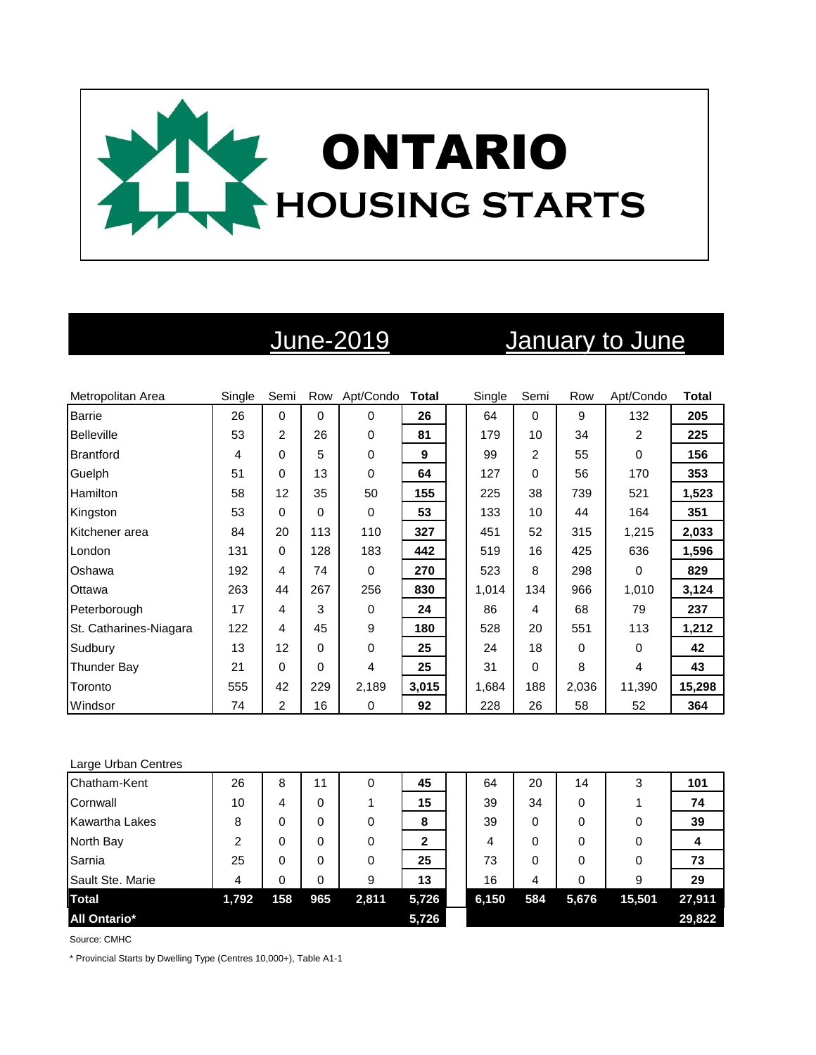

# June-2019 January to June

| Metropolitan Area      | Single | Semi           |          | Row Apt/Condo | <b>Total</b> | Single | Semi | Row   | Apt/Condo | <b>Total</b> |
|------------------------|--------|----------------|----------|---------------|--------------|--------|------|-------|-----------|--------------|
| <b>Barrie</b>          | 26     | $\Omega$       | $\Omega$ | $\Omega$      | 26           | 64     | 0    | 9     | 132       | 205          |
| Belleville             | 53     | $\overline{2}$ | 26       | 0             | 81           | 179    | 10   | 34    | 2         | 225          |
| <b>Brantford</b>       | 4      | 0              | 5        | 0             | 9            | 99     | 2    | 55    | $\Omega$  | 156          |
| Guelph                 | 51     | 0              | 13       | 0             | 64           | 127    | 0    | 56    | 170       | 353          |
| Hamilton               | 58     | 12             | 35       | 50            | 155          | 225    | 38   | 739   | 521       | 1,523        |
| Kingston               | 53     | $\Omega$       | $\Omega$ | 0             | 53           | 133    | 10   | 44    | 164       | 351          |
| Kitchener area         | 84     | 20             | 113      | 110           | 327          | 451    | 52   | 315   | 1,215     | 2,033        |
| London                 | 131    | 0              | 128      | 183           | 442          | 519    | 16   | 425   | 636       | 1,596        |
| Oshawa                 | 192    | 4              | 74       | 0             | 270          | 523    | 8    | 298   | $\Omega$  | 829          |
| Ottawa                 | 263    | 44             | 267      | 256           | 830          | 1,014  | 134  | 966   | 1,010     | 3,124        |
| Peterborough           | 17     | 4              | 3        | 0             | 24           | 86     | 4    | 68    | 79        | 237          |
| St. Catharines-Niagara | 122    | 4              | 45       | 9             | 180          | 528    | 20   | 551   | 113       | 1,212        |
| Sudbury                | 13     | 12             | $\Omega$ | 0             | 25           | 24     | 18   | 0     | 0         | 42           |
| Thunder Bay            | 21     | 0              | $\Omega$ | 4             | 25           | 31     | 0    | 8     | 4         | 43           |
| Toronto                | 555    | 42             | 229      | 2,189         | 3,015        | 1,684  | 188  | 2,036 | 11,390    | 15,298       |
| Windsor                | 74     | 2              | 16       | 0             | 92           | 228    | 26   | 58    | 52        | 364          |

### Large Urban Centres

| Chatham-Kent          | 26             | 8   | 11  | 0     | 45          | 64    | 20  | 14       | 3      | 101    |
|-----------------------|----------------|-----|-----|-------|-------------|-------|-----|----------|--------|--------|
| Cornwall              | 10             | 4   | 0   |       | 15          | 39    | 34  | 0        |        | 74     |
| <b>Kawartha Lakes</b> | 8              | 0   | 0   | 0     | 8           | 39    | 0   | $\Omega$ |        | 39     |
| North Bay             | $\mathfrak{p}$ | 0   | 0   | 0     | $\mathbf 2$ | 4     | 0   | 0        | 0      |        |
| Sarnia                | 25             | 0   | 0   | 0     | 25          | 73    | 0   | $\Omega$ | 0      | 73     |
| Sault Ste. Marie      | 4              | 0   | 0   | 9     | 13          | 16    | 4   | 0        | 9      | 29     |
| <b>Total</b>          | 1,792          | 158 | 965 | 2,811 | 5,726       | 6,150 | 584 | 5,676    | 15,501 | 27,911 |
| <b>All Ontario*</b>   |                |     |     |       | 5,726       |       |     |          |        | 29,822 |

Source: CMHC

\* Provincial Starts by Dwelling Type (Centres 10,000+), Table A1-1